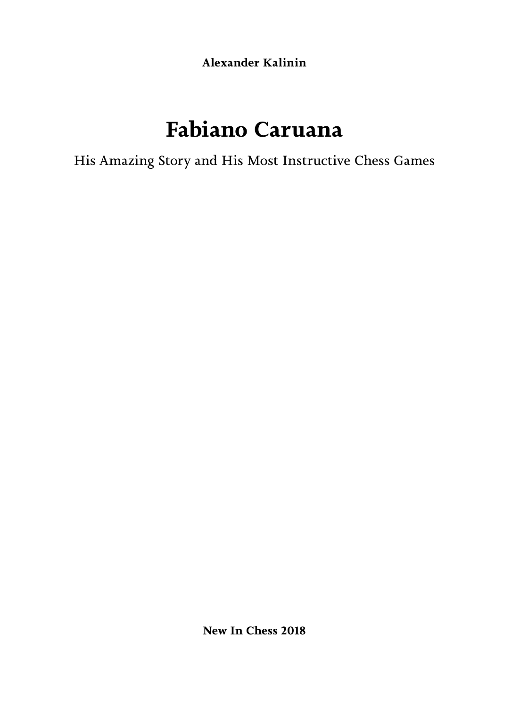**Alexander Kalinin**

# **Fabiano Caruana**

His Amazing Story and His Most Instructive Chess Games

**New In Chess 2018**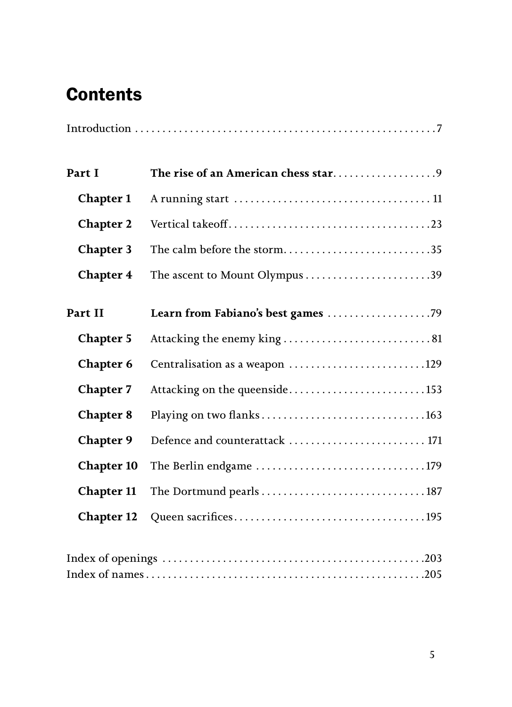## **Contents**

| Part I            | The rise of an American chess star9 |
|-------------------|-------------------------------------|
| <b>Chapter 1</b>  |                                     |
| <b>Chapter 2</b>  |                                     |
| <b>Chapter 3</b>  | The calm before the storm35         |
| <b>Chapter 4</b>  |                                     |
| Part II           |                                     |
| <b>Chapter 5</b>  |                                     |
| <b>Chapter 6</b>  | Centralisation as a weapon 129      |
| <b>Chapter 7</b>  | Attacking on the queenside153       |
| <b>Chapter 8</b>  |                                     |
| <b>Chapter 9</b>  | Defence and counterattack  171      |
| <b>Chapter 10</b> | The Berlin endgame 179              |
| <b>Chapter 11</b> |                                     |
| <b>Chapter 12</b> |                                     |
|                   |                                     |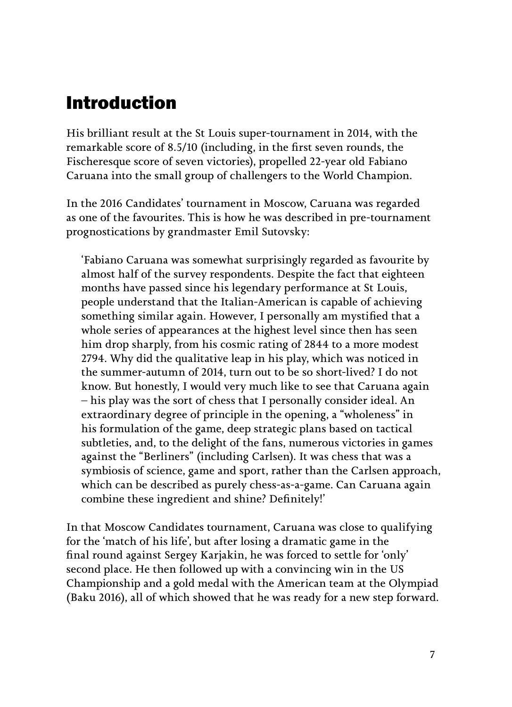## <span id="page-2-0"></span>Introduction

His brilliant result at the St Louis super-tournament in 2014, with the remarkable score of 8.5/10 (including, in the first seven rounds, the Fischeresque score of seven victories), propelled 22-year old Fabiano Caruana into the small group of challengers to the World Champion.

In the 2016 Candidates' tournament in Moscow, Caruana was regarded as one of the favourites. This is how he was described in pre-tournament prognostications by grandmaster Emil Sutovsky:

'Fabiano Caruana was somewhat surprisingly regarded as favourite by almost half of the survey respondents. Despite the fact that eighteen months have passed since his legendary performance at St Louis, people understand that the Italian-American is capable of achieving something similar again. However, I personally am mystified that a whole series of appearances at the highest level since then has seen him drop sharply, from his cosmic rating of 2844 to a more modest 2794. Why did the qualitative leap in his play, which was noticed in the summer-autumn of 2014, turn out to be so short-lived? I do not know. But honestly, I would very much like to see that Caruana again – his play was the sort of chess that I personally consider ideal. An extraordinary degree of principle in the opening, a "wholeness" in his formulation of the game, deep strategic plans based on tactical subtleties, and, to the delight of the fans, numerous victories in games against the "Berliners" (including Carlsen). It was chess that was a symbiosis of science, game and sport, rather than the Carlsen approach, which can be described as purely chess-as-a-game. Can Caruana again combine these ingredient and shine? Definitely!'

In that Moscow Candidates tournament, Caruana was close to qualifying for the 'match of his life', but after losing a dramatic game in the final round against Sergey Karjakin, he was forced to settle for 'only' second place. He then followed up with a convincing win in the US Championship and a gold medal with the American team at the Olympiad (Baku 2016), all of which showed that he was ready for a new step forward.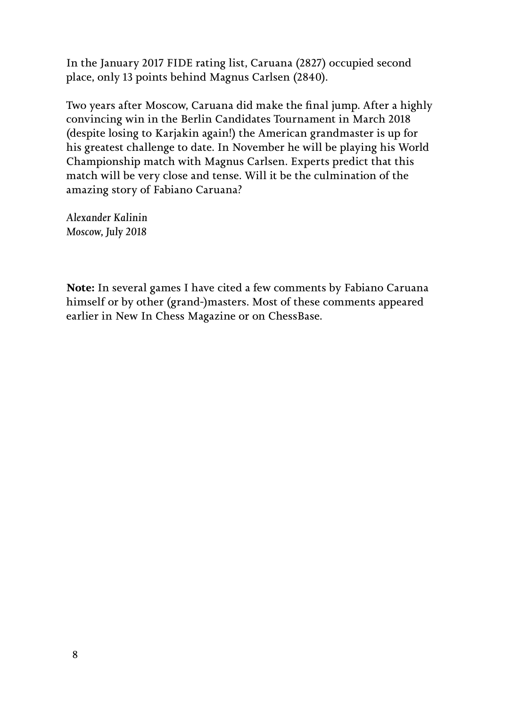In the January 2017 FIDE rating list, Caruana (2827) occupied second place, only 13 points behind Magnus Carlsen (2840).

Two years after Moscow, Caruana did make the final jump. After a highly convincing win in the Berlin Candidates Tournament in March 2018 (despite losing to Karjakin again!) the American grandmaster is up for his greatest challenge to date. In November he will be playing his World Championship match with Magnus Carlsen. Experts predict that this match will be very close and tense. Will it be the culmination of the amazing story of Fabiano Caruana?

*Alexander Kalinin Moscow, July 2018*

**Note:** In several games I have cited a few comments by Fabiano Caruana himself or by other (grand-)masters. Most of these comments appeared earlier in New In Chess Magazine or on ChessBase.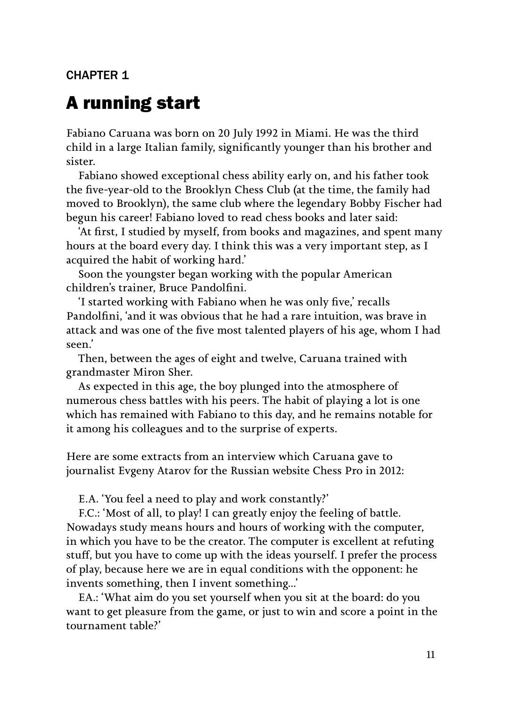#### <span id="page-4-0"></span>CHAPTER 1

## A running start

Fabiano Caruana was born on 20 July 1992 in Miami. He was the third child in a large Italian family, significantly younger than his brother and sister.

Fabiano showed exceptional chess ability early on, and his father took the five-year-old to the Brooklyn Chess Club (at the time, the family had moved to Brooklyn), the same club where the legendary Bobby Fischer had begun his career! Fabiano loved to read chess books and later said:

'At first, I studied by myself, from books and magazines, and spent many hours at the board every day. I think this was a very important step, as I acquired the habit of working hard.'

Soon the youngster began working with the popular American children's trainer, Bruce Pandolfini.

'I started working with Fabiano when he was only five,' recalls Pandolfini, 'and it was obvious that he had a rare intuition, was brave in attack and was one of the five most talented players of his age, whom I had seen.'

Then, between the ages of eight and twelve, Caruana trained with grandmaster Miron Sher.

As expected in this age, the boy plunged into the atmosphere of numerous chess battles with his peers. The habit of playing a lot is one which has remained with Fabiano to this day, and he remains notable for it among his colleagues and to the surprise of experts.

Here are some extracts from an interview which Caruana gave to journalist Evgeny Atarov for the Russian website Chess Pro in 2012:

E.A. 'You feel a need to play and work constantly?'

F.C.: 'Most of all, to play! I can greatly enjoy the feeling of battle. Nowadays study means hours and hours of working with the computer, in which you have to be the creator. The computer is excellent at refuting stuff, but you have to come up with the ideas yourself. I prefer the process of play, because here we are in equal conditions with the opponent: he invents something, then I invent something...'

EA.: 'What aim do you set yourself when you sit at the board: do you want to get pleasure from the game, or just to win and score a point in the tournament table?'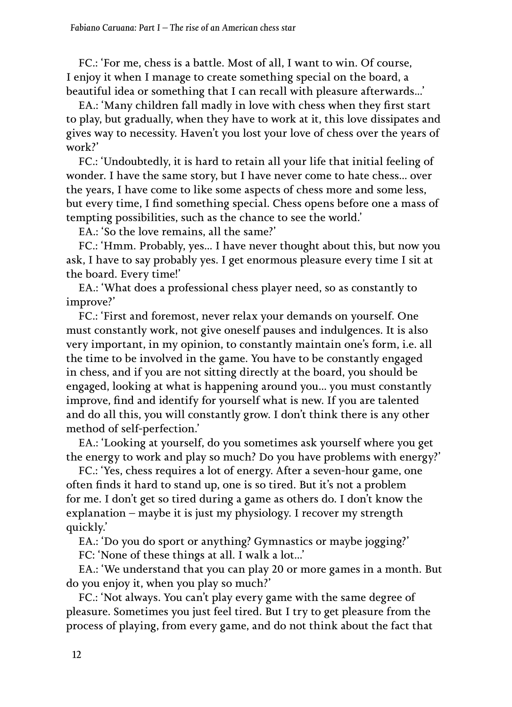FC.: 'For me, chess is a battle. Most of all, I want to win. Of course, I enjoy it when I manage to create something special on the board, a beautiful idea or something that I can recall with pleasure afterwards...'

EA.: 'Many children fall madly in love with chess when they first start to play, but gradually, when they have to work at it, this love dissipates and gives way to necessity. Haven't you lost your love of chess over the years of work?'

FC.: 'Undoubtedly, it is hard to retain all your life that initial feeling of wonder. I have the same story, but I have never come to hate chess... over the years, I have come to like some aspects of chess more and some less, but every time, I find something special. Chess opens before one a mass of tempting possibilities, such as the chance to see the world.'

EA.: 'So the love remains, all the same?'

FC.: 'Hmm. Probably, yes... I have never thought about this, but now you ask, I have to say probably yes. I get enormous pleasure every time I sit at the board. Every time!'

EA.: 'What does a professional chess player need, so as constantly to improve?'

FC.: 'First and foremost, never relax your demands on yourself. One must constantly work, not give oneself pauses and indulgences. It is also very important, in my opinion, to constantly maintain one's form, i.e. all the time to be involved in the game. You have to be constantly engaged in chess, and if you are not sitting directly at the board, you should be engaged, looking at what is happening around you... you must constantly improve, find and identify for yourself what is new. If you are talented and do all this, you will constantly grow. I don't think there is any other method of self-perfection.'

EA.: 'Looking at yourself, do you sometimes ask yourself where you get the energy to work and play so much? Do you have problems with energy?'

FC.: 'Yes, chess requires a lot of energy. After a seven-hour game, one often finds it hard to stand up, one is so tired. But it's not a problem for me. I don't get so tired during a game as others do. I don't know the explanation – maybe it is just my physiology. I recover my strength quickly.'

EA.: 'Do you do sport or anything? Gymnastics or maybe jogging?'

FC: 'None of these things at all. I walk a lot...'

EA.: 'We understand that you can play 20 or more games in a month. But do you enjoy it, when you play so much?'

FC.: 'Not always. You can't play every game with the same degree of pleasure. Sometimes you just feel tired. But I try to get pleasure from the process of playing, from every game, and do not think about the fact that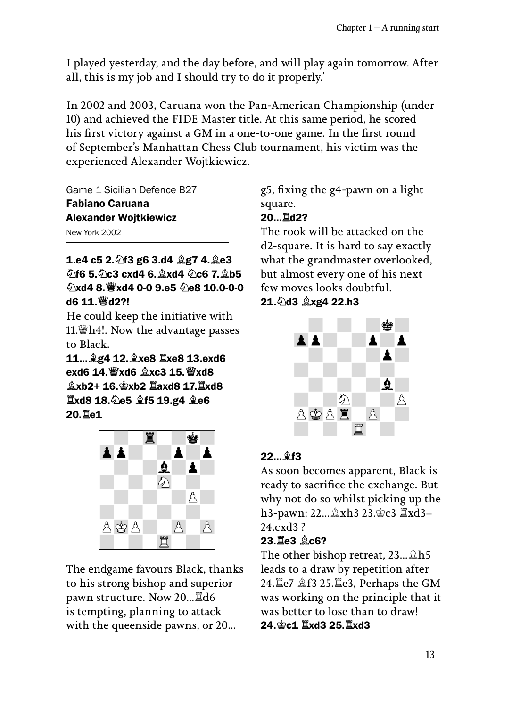I played yesterday, and the day before, and will play again tomorrow. After all, this is my job and I should try to do it properly.'

In 2002 and 2003, Caruana won the Pan-American Championship (under 10) and achieved the FIDE Master title. At this same period, he scored his first victory against a GM in a one-to-one game. In the first round of September's Manhattan Chess Club tournament, his victim was the experienced Alexander Wojtkiewicz.

Game 1 Sicilian Defence B27 Fabiano Caruana Alexander Wojtkiewicz

New York 2002

1.e4 c5 2.♘f3 g6 3.d4 ♗g7 4.♗e3 ♘f6 5.♘c3 cxd4 6.♗xd4 ♘c6 7.♗b5  $\Diamond$ xd4 8.  $\degree$ xd4 0-0 9.e5  $\Diamond$ e8 10.0-0-0 d6 11.♕d2?!

He could keep the initiative with 11.♕h4!. Now the advantage passes to Black.

11...♗g4 12.♗xe8 ♖xe8 13.exd6 exd6 14.♕xd6 ♗xc3 15.♕xd8 ♗xb2+ 16.♔xb2 ♖axd8 17.♖xd8 ♖xd8 18.♘e5 ♗f5 19.g4 ♗e6 20.♖e1



The endgame favours Black, thanks to his strong bishop and superior pawn structure. Now 20...♖d6 is tempting, planning to attack with the queenside pawns, or 20...

g5, fixing the g4-pawn on a light square.

#### 20...♖d2?

The rook will be attacked on the d2-square. It is hard to say exactly what the grandmaster overlooked, but almost every one of his next few moves looks doubtful.

#### 21.♘d3 ♗xg4 22.h3



#### 22...♗f3

As soon becomes apparent, Black is ready to sacrifice the exchange. But why not do so whilst picking up the h3-pawn: 22...♗xh3 23.♔c3 ♖xd3+ 24.cxd3 ?

#### 23.♖e3 ♗c6?

The other bishop retreat, 23...♗h5 leads to a draw by repetition after 24.♖e7 ♗f3 25.♖e3, Perhaps the GM was working on the principle that it was better to lose than to draw! 24.♔c1 ♖xd3 25.♖xd3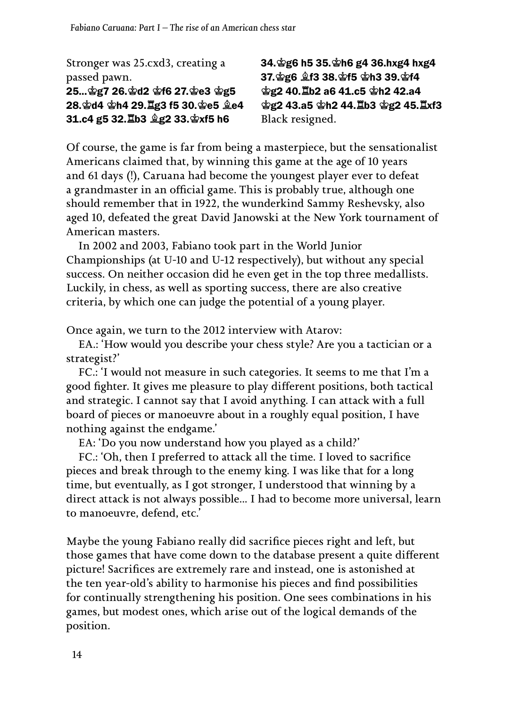Stronger was 25.cxd3, creating a passed pawn. 25...♔g7 26.♔d2 ♔f6 27.♔e3 ♔g5 28.♔d4 ♔h4 29.♖g3 f5 30.♔e5 ♗e4 31.c4 g5 32.♖b3 ♗g2 33.♔xf5 h6

34.♔g6 h5 35.♔h6 g4 36.hxg4 hxg4 37.♔g6 ♗f3 38.♔f5 ♔h3 39.♔f4 ♔g2 40.♖b2 a6 41.c5 ♔h2 42.a4 ♔g2 43.a5 ♔h2 44.♖b3 ♔g2 45.♖xf3 Black resigned.

Of course, the game is far from being a masterpiece, but the sensationalist Americans claimed that, by winning this game at the age of 10 years and 61 days (!), Caruana had become the youngest player ever to defeat a grandmaster in an official game. This is probably true, although one should remember that in 1922, the wunderkind Sammy Reshevsky, also aged 10, defeated the great David Janowski at the New York tournament of American masters.

In 2002 and 2003, Fabiano took part in the World Junior Championships (at U-10 and U-12 respectively), but without any special success. On neither occasion did he even get in the top three medallists. Luckily, in chess, as well as sporting success, there are also creative criteria, by which one can judge the potential of a young player.

Once again, we turn to the 2012 interview with Atarov:

EA.: 'How would you describe your chess style? Are you a tactician or a strategist?'

FC.: 'I would not measure in such categories. It seems to me that I'm a good fighter. It gives me pleasure to play different positions, both tactical and strategic. I cannot say that I avoid anything. I can attack with a full board of pieces or manoeuvre about in a roughly equal position, I have nothing against the endgame.'

EA: 'Do you now understand how you played as a child?'

FC.: 'Oh, then I preferred to attack all the time. I loved to sacrifice pieces and break through to the enemy king. I was like that for a long time, but eventually, as I got stronger, I understood that winning by a direct attack is not always possible... I had to become more universal, learn to manoeuvre, defend, etc.'

Maybe the young Fabiano really did sacrifice pieces right and left, but those games that have come down to the database present a quite different picture! Sacrifices are extremely rare and instead, one is astonished at the ten year-old's ability to harmonise his pieces and find possibilities for continually strengthening his position. One sees combinations in his games, but modest ones, which arise out of the logical demands of the position.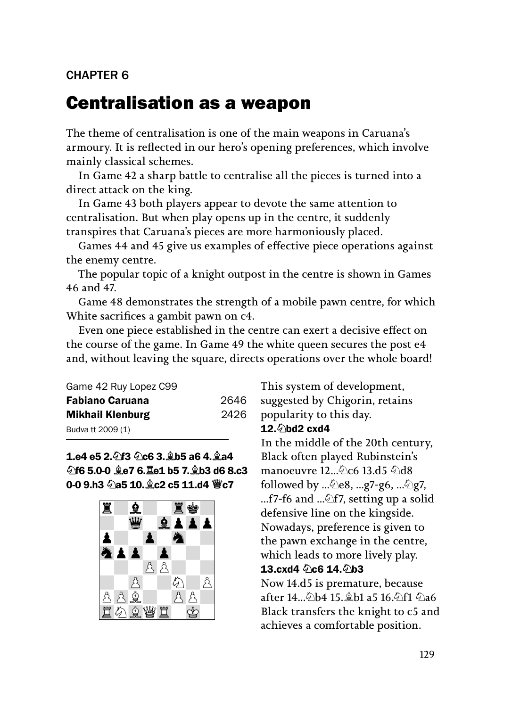#### <span id="page-8-0"></span>CHAPTER 6

### Centralisation as a weapon

The theme of centralisation is one of the main weapons in Caruana's armoury. It is reflected in our hero's opening preferences, which involve mainly classical schemes.

In Game 42 a sharp battle to centralise all the pieces is turned into a direct attack on the king.

In Game 43 both players appear to devote the same attention to centralisation. But when play opens up in the centre, it suddenly transpires that Caruana's pieces are more harmoniously placed.

Games 44 and 45 give us examples of effective piece operations against the enemy centre.

The popular topic of a knight outpost in the centre is shown in Games 46 and 47.

Game 48 demonstrates the strength of a mobile pawn centre, for which White sacrifices a gambit pawn on c4.

Even one piece established in the centre can exert a decisive effect on the course of the game. In Game 49 the white queen secures the post e4 and, without leaving the square, directs operations over the whole board!

| Game 42 Ruy Lopez C99   |      |
|-------------------------|------|
| <b>Fabiano Caruana</b>  | 2646 |
| <b>Mikhail Klenburg</b> | 2426 |
| Budva tt 2009 (1)       |      |

1.e4 e5 2.♘f3 ♘c6 3.♗b5 a6 4.♗a4 ♘f6 5.0-0 ♗e7 6.♖e1 b5 7.♗b3 d6 8.c3 0-0 9.h3 ♦a5 10. ec2 c5 11.d4  $\mathcal{W}$ c7



This system of development, suggested by Chigorin, retains popularity to this day.

#### 12. bd2 cxd4

In the middle of the 20th century, Black often played Rubinstein's manoeuvre 12...∕2c6 13.d5 ⊘d8 followed by ... $\&e8$ , ... $g7-g6$ , ... $&\&q7$ , ...f7-f6 and ...♘f7, setting up a solid defensive line on the kingside. Nowadays, preference is given to the pawn exchange in the centre, which leads to more lively play. 13.cxd4 4c6 14.4b3 Now 14.d5 is premature, because after 14...♘b4 15.♗b1 a5 16.♘f1 ♘a6 Black transfers the knight to c5 and achieves a comfortable position.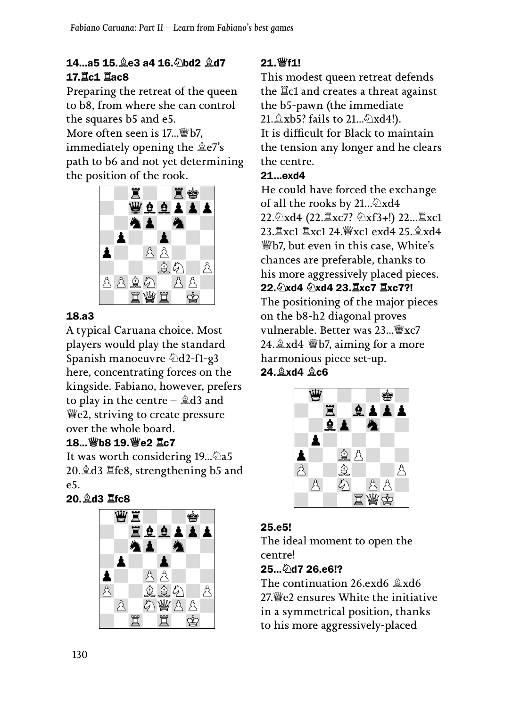#### 14...a5 15.♗e3 a4 16.♘bd2 ♗d7 17.♖c1 ♖ac8

Preparing the retreat of the queen to b8, from where she can control the squares b5 and e5. More often seen is 17...♕b7, immediately opening the ♗e7's path to b6 and not yet determining the position of the rook.



#### 18.a3

A typical Caruana choice. Most players would play the standard Spanish manoeuvre ♘d2-f1-g3 here, concentrating forces on the kingside. Fabiano, however, prefers to play in the centre – ♗d3 and ♕e2, striving to create pressure over the whole board.

#### 18...♕b8 19.♕e2 ♖c7

It was worth considering 19...∕ a5 20.♗d3 ♖fe8, strengthening b5 and e5.

#### 20.♗d3 ♖fc8



#### 21.♕f1!

This modest queen retreat defends the ♖c1 and creates a threat against the b5-pawn (the immediate 21.♗xb5? fails to 21...♘xd4!). It is difficult for Black to maintain the tension any longer and he clears the centre.

#### 21...exd4

He could have forced the exchange of all the rooks by 21... $\triangle$ xd4 22.♘xd4 (22.♖xc7? ♘xf3+!) 22...♖xc1 23.♖xc1 ♖xc1 24.♕xc1 exd4 25.♗xd4 ♕b7, but even in this case, White's chances are preferable, thanks to his more aggressively placed pieces. 22.♘xd4 ♘xd4 23.♖xc7 ♖xc7?! The positioning of the major pieces on the b8-h2 diagonal proves vulnerable. Better was 23...♕xc7 24.♗xd4 ♕b7, aiming for a more harmonious piece set-up. 24.♗xd4 ♗c6



#### 25.e5!

The ideal moment to open the centre!

#### 25... 2d7 26.e6!?

The continuation 26.exd6 ♗xd6 27.♕e2 ensures White the initiative in a symmetrical position, thanks to his more aggressively-placed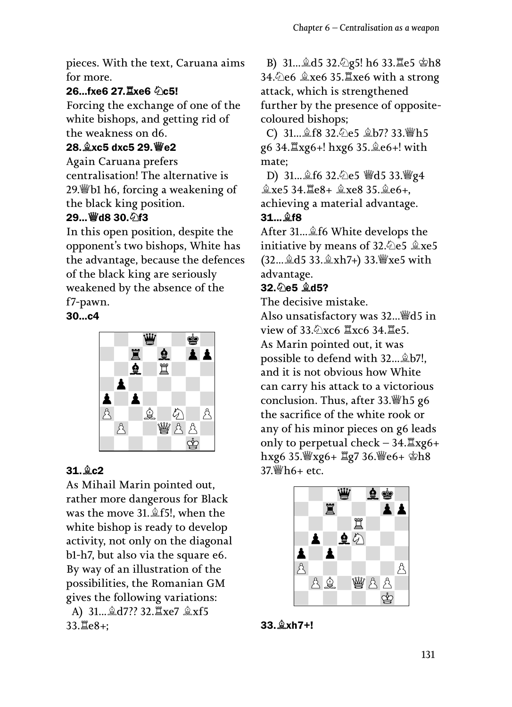pieces. With the text, Caruana aims for more.

#### 26...fxe6 27. Lxe6 ⊘c5!

Forcing the exchange of one of the white bishops, and getting rid of the weakness on d6.

#### 28.♗xc5 dxc5 29.♕e2

Again Caruana prefers centralisation! The alternative is 29.♕b1 h6, forcing a weakening of the black king position.

#### 29...♕d8 30.♘f3

In this open position, despite the opponent's two bishops, White has the advantage, because the defences of the black king are seriously weakened by the absence of the f7-pawn.

30...c4



#### 31.♗c2

As Mihail Marin pointed out, rather more dangerous for Black was the move 31.♗f5!, when the white bishop is ready to develop activity, not only on the diagonal b1-h7, but also via the square e6. By way of an illustration of the possibilities, the Romanian GM gives the following variations:

A) 31...♗d7?? 32.♖xe7 ♗xf5 33.♖e8+;

B) 31...♗d5 32.♘g5! h6 33.♖e5 ♔h8 34.♘e6 ♗xe6 35.♖xe6 with a strong attack, which is strengthened further by the presence of oppositecoloured bishops;

C) 31...♗f8 32.♘e5 ♗b7? 33.♕h5 g6 34.♖xg6+! hxg6 35.♗e6+! with mate;

D) 31...♗f6 32.♘e5 ♕d5 33.♕g4 **<b>盒xe5 34.** e8+ 盒xe8 35. 鱼e6+, achieving a material advantage. 31...♗f8

After 31...♗f6 White develops the initiative by means of 32. ∕ ≥e5 *L*xe5 (32...♗d5 33.♗xh7+) 33.♕xe5 with advantage.

#### 32.♘e5 ♗d5?

The decisive mistake.

Also unsatisfactory was 32...♕d5 in view of 33.♘xc6 ♖xc6 34.♖e5. As Marin pointed out, it was possible to defend with 32...♗b7!, and it is not obvious how White can carry his attack to a victorious conclusion. Thus, after 33.♕h5 g6 the sacrifice of the white rook or any of his minor pieces on g6 leads only to perpetual check –  $34.\nexists x g6+$ hxg6 35.♕xg6+ ♖g7 36.♕e6+ ♔h8 37.♕h6+ etc.



33.♗xh7+!